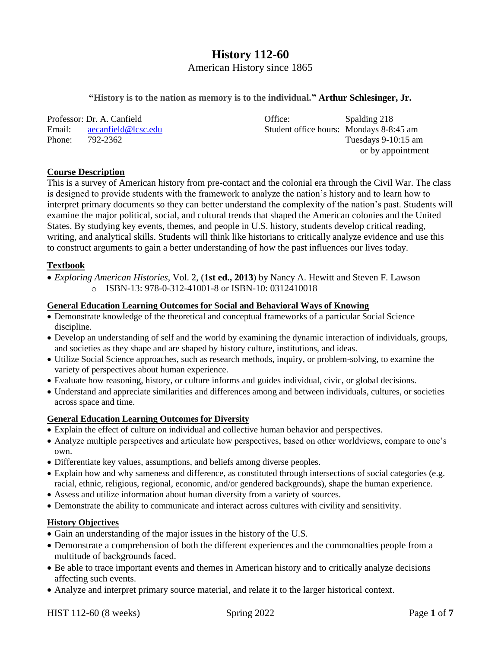# **History 112-60**

American History since 1865

#### **"History is to the nation as memory is to the individual." Arthur Schlesinger, Jr.**

Professor: Dr. A. Canfield **Community** Office: Spalding 218 Email: [aecanfield@lcsc.edu](mailto:aecanfield@lcsc.edu) Student office hours: Mondays 8-8:45 am Phone: 792-2362 Tuesdays 9-10:15 am

or by appointment

#### **Course Description**

This is a survey of American history from pre-contact and the colonial era through the Civil War. The class is designed to provide students with the framework to analyze the nation's history and to learn how to interpret primary documents so they can better understand the complexity of the nation's past. Students will examine the major political, social, and cultural trends that shaped the American colonies and the United States. By studying key events, themes, and people in U.S. history, students develop critical reading, writing, and analytical skills. Students will think like historians to critically analyze evidence and use this to construct arguments to gain a better understanding of how the past influences our lives today.

## **Textbook**

 *Exploring American Histories*, Vol. 2, (**1st ed., 2013**) by Nancy A. Hewitt and Steven F. Lawson o ISBN-13: 978-0-312-41001-8 or ISBN-10: 0312410018

#### **General Education Learning Outcomes for Social and Behavioral Ways of Knowing**

- Demonstrate knowledge of the theoretical and conceptual frameworks of a particular Social Science discipline.
- Develop an understanding of self and the world by examining the dynamic interaction of individuals, groups, and societies as they shape and are shaped by history culture, institutions, and ideas.
- Utilize Social Science approaches, such as research methods, inquiry, or problem-solving, to examine the variety of perspectives about human experience.
- Evaluate how reasoning, history, or culture informs and guides individual, civic, or global decisions.
- Understand and appreciate similarities and differences among and between individuals, cultures, or societies across space and time.

## **General Education Learning Outcomes for Diversity**

- Explain the effect of culture on individual and collective human behavior and perspectives.
- Analyze multiple perspectives and articulate how perspectives, based on other worldviews, compare to one's own.
- Differentiate key values, assumptions, and beliefs among diverse peoples.
- Explain how and why sameness and difference, as constituted through intersections of social categories (e.g. racial, ethnic, religious, regional, economic, and/or gendered backgrounds), shape the human experience.
- Assess and utilize information about human diversity from a variety of sources.
- Demonstrate the ability to communicate and interact across cultures with civility and sensitivity.

## **History Objectives**

- Gain an understanding of the major issues in the history of the U.S.
- Demonstrate a comprehension of both the different experiences and the commonalties people from a multitude of backgrounds faced.
- Be able to trace important events and themes in American history and to critically analyze decisions affecting such events.
- Analyze and interpret primary source material, and relate it to the larger historical context.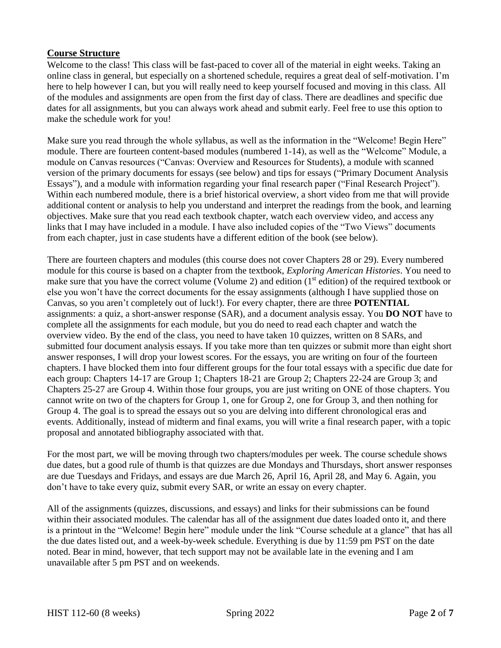## **Course Structure**

Welcome to the class! This class will be fast-paced to cover all of the material in eight weeks. Taking an online class in general, but especially on a shortened schedule, requires a great deal of self-motivation. I'm here to help however I can, but you will really need to keep yourself focused and moving in this class. All of the modules and assignments are open from the first day of class. There are deadlines and specific due dates for all assignments, but you can always work ahead and submit early. Feel free to use this option to make the schedule work for you!

Make sure you read through the whole syllabus, as well as the information in the "Welcome! Begin Here" module. There are fourteen content-based modules (numbered 1-14), as well as the "Welcome" Module, a module on Canvas resources ("Canvas: Overview and Resources for Students), a module with scanned version of the primary documents for essays (see below) and tips for essays ("Primary Document Analysis Essays"), and a module with information regarding your final research paper ("Final Research Project"). Within each numbered module, there is a brief historical overview, a short video from me that will provide additional content or analysis to help you understand and interpret the readings from the book, and learning objectives. Make sure that you read each textbook chapter, watch each overview video, and access any links that I may have included in a module. I have also included copies of the "Two Views" documents from each chapter, just in case students have a different edition of the book (see below).

There are fourteen chapters and modules (this course does not cover Chapters 28 or 29). Every numbered module for this course is based on a chapter from the textbook, *Exploring American Histories*. You need to make sure that you have the correct volume (Volume 2) and edition (1<sup>st</sup> edition) of the required textbook or else you won't have the correct documents for the essay assignments (although I have supplied those on Canvas, so you aren't completely out of luck!). For every chapter, there are three **POTENTIAL** assignments: a quiz, a short-answer response (SAR), and a document analysis essay. You **DO NOT** have to complete all the assignments for each module, but you do need to read each chapter and watch the overview video. By the end of the class, you need to have taken 10 quizzes, written on 8 SARs, and submitted four document analysis essays. If you take more than ten quizzes or submit more than eight short answer responses, I will drop your lowest scores. For the essays, you are writing on four of the fourteen chapters. I have blocked them into four different groups for the four total essays with a specific due date for each group: Chapters 14-17 are Group 1; Chapters 18-21 are Group 2; Chapters 22-24 are Group 3; and Chapters 25-27 are Group 4. Within those four groups, you are just writing on ONE of those chapters. You cannot write on two of the chapters for Group 1, one for Group 2, one for Group 3, and then nothing for Group 4. The goal is to spread the essays out so you are delving into different chronological eras and events. Additionally, instead of midterm and final exams, you will write a final research paper, with a topic proposal and annotated bibliography associated with that.

For the most part, we will be moving through two chapters/modules per week. The course schedule shows due dates, but a good rule of thumb is that quizzes are due Mondays and Thursdays, short answer responses are due Tuesdays and Fridays, and essays are due March 26, April 16, April 28, and May 6. Again, you don't have to take every quiz, submit every SAR, or write an essay on every chapter.

All of the assignments (quizzes, discussions, and essays) and links for their submissions can be found within their associated modules. The calendar has all of the assignment due dates loaded onto it, and there is a printout in the "Welcome! Begin here" module under the link "Course schedule at a glance" that has all the due dates listed out, and a week-by-week schedule. Everything is due by 11:59 pm PST on the date noted. Bear in mind, however, that tech support may not be available late in the evening and I am unavailable after 5 pm PST and on weekends.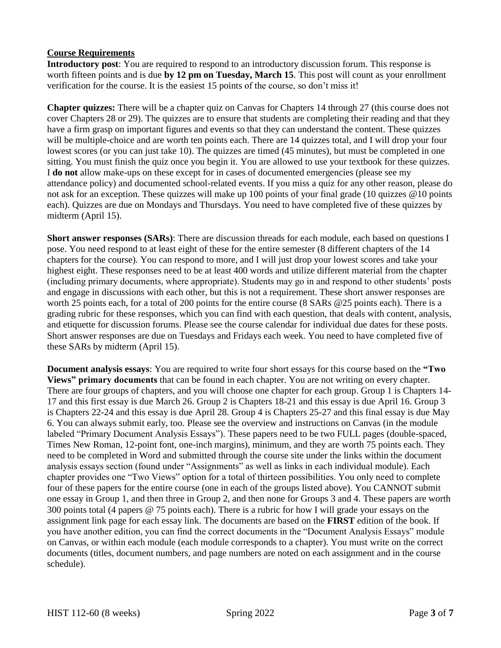## **Course Requirements**

**Introductory post**: You are required to respond to an introductory discussion forum. This response is worth fifteen points and is due **by 12 pm on Tuesday, March 15**. This post will count as your enrollment verification for the course. It is the easiest 15 points of the course, so don't miss it!

**Chapter quizzes:** There will be a chapter quiz on Canvas for Chapters 14 through 27 (this course does not cover Chapters 28 or 29). The quizzes are to ensure that students are completing their reading and that they have a firm grasp on important figures and events so that they can understand the content. These quizzes will be multiple-choice and are worth ten points each. There are 14 quizzes total, and I will drop your four lowest scores (or you can just take 10). The quizzes are timed (45 minutes), but must be completed in one sitting. You must finish the quiz once you begin it. You are allowed to use your textbook for these quizzes. I **do not** allow make-ups on these except for in cases of documented emergencies (please see my attendance policy) and documented school-related events. If you miss a quiz for any other reason, please do not ask for an exception. These quizzes will make up 100 points of your final grade (10 quizzes @10 points each). Quizzes are due on Mondays and Thursdays. You need to have completed five of these quizzes by midterm (April 15).

**Short answer responses (SARs)**: There are discussion threads for each module, each based on questions I pose. You need respond to at least eight of these for the entire semester (8 different chapters of the 14 chapters for the course). You can respond to more, and I will just drop your lowest scores and take your highest eight. These responses need to be at least 400 words and utilize different material from the chapter (including primary documents, where appropriate). Students may go in and respond to other students' posts and engage in discussions with each other, but this is not a requirement. These short answer responses are worth 25 points each, for a total of 200 points for the entire course (8 SARs @25 points each). There is a grading rubric for these responses, which you can find with each question, that deals with content, analysis, and etiquette for discussion forums. Please see the course calendar for individual due dates for these posts. Short answer responses are due on Tuesdays and Fridays each week. You need to have completed five of these SARs by midterm (April 15).

**Document analysis essays**: You are required to write four short essays for this course based on the **"Two Views" primary documents** that can be found in each chapter. You are not writing on every chapter. There are four groups of chapters, and you will choose one chapter for each group. Group 1 is Chapters 14- 17 and this first essay is due March 26. Group 2 is Chapters 18-21 and this essay is due April 16. Group 3 is Chapters 22-24 and this essay is due April 28. Group 4 is Chapters 25-27 and this final essay is due May 6. You can always submit early, too. Please see the overview and instructions on Canvas (in the module labeled "Primary Document Analysis Essays"). These papers need to be two FULL pages (double-spaced, Times New Roman, 12-point font, one-inch margins), minimum, and they are worth 75 points each. They need to be completed in Word and submitted through the course site under the links within the document analysis essays section (found under "Assignments" as well as links in each individual module). Each chapter provides one "Two Views" option for a total of thirteen possibilities. You only need to complete four of these papers for the entire course (one in each of the groups listed above). You CANNOT submit one essay in Group 1, and then three in Group 2, and then none for Groups 3 and 4. These papers are worth 300 points total (4 papers @ 75 points each). There is a rubric for how I will grade your essays on the assignment link page for each essay link. The documents are based on the **FIRST** edition of the book. If you have another edition, you can find the correct documents in the "Document Analysis Essays" module on Canvas, or within each module (each module corresponds to a chapter). You must write on the correct documents (titles, document numbers, and page numbers are noted on each assignment and in the course schedule).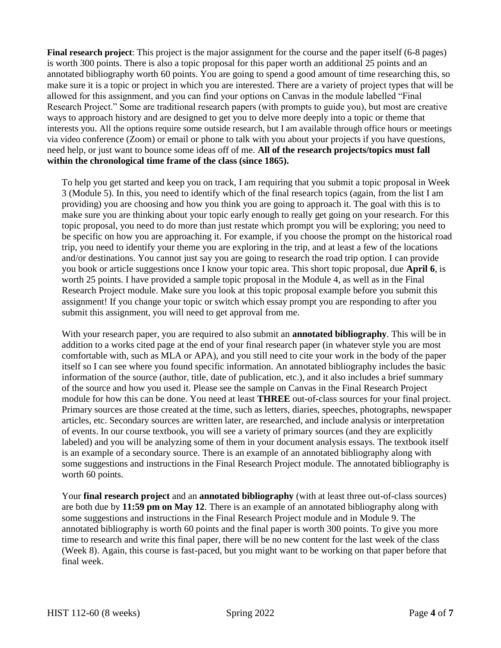**Final research project**: This project is the major assignment for the course and the paper itself (6-8 pages) is worth 300 points. There is also a topic proposal for this paper worth an additional 25 points and an annotated bibliography worth 60 points. You are going to spend a good amount of time researching this, so make sure it is a topic or project in which you are interested. There are a variety of project types that will be allowed for this assignment, and you can find your options on Canvas in the module labelled "Final Research Project." Some are traditional research papers (with prompts to guide you), but most are creative ways to approach history and are designed to get you to delve more deeply into a topic or theme that interests you. All the options require some outside research, but I am available through office hours or meetings via video conference (Zoom) or email or phone to talk with you about your projects if you have questions, need help, or just want to bounce some ideas off of me. **All of the research projects/topics must fall within the chronological time frame of the class (since 1865).**

To help you get started and keep you on track, I am requiring that you submit a topic proposal in Week 3 (Module 5). In this, you need to identify which of the final research topics (again, from the list I am providing) you are choosing and how you think you are going to approach it. The goal with this is to make sure you are thinking about your topic early enough to really get going on your research. For this topic proposal, you need to do more than just restate which prompt you will be exploring; you need to be specific on how you are approaching it. For example, if you choose the prompt on the historical road trip, you need to identify your theme you are exploring in the trip, and at least a few of the locations and/or destinations. You cannot just say you are going to research the road trip option. I can provide you book or article suggestions once I know your topic area. This short topic proposal, due **April 6**, is worth 25 points. I have provided a sample topic proposal in the Module 4, as well as in the Final Research Project module. Make sure you look at this topic proposal example before you submit this assignment! If you change your topic or switch which essay prompt you are responding to after you submit this assignment, you will need to get approval from me.

With your research paper, you are required to also submit an **annotated bibliography**. This will be in addition to a works cited page at the end of your final research paper (in whatever style you are most comfortable with, such as MLA or APA), and you still need to cite your work in the body of the paper itself so I can see where you found specific information. An annotated bibliography includes the basic information of the source (author, title, date of publication, etc.), and it also includes a brief summary of the source and how you used it. Please see the sample on Canvas in the Final Research Project module for how this can be done. You need at least **THREE** out-of-class sources for your final project. Primary sources are those created at the time, such as letters, diaries, speeches, photographs, newspaper articles, etc. Secondary sources are written later, are researched, and include analysis or interpretation of events. In our course textbook, you will see a variety of primary sources (and they are explicitly labeled) and you will be analyzing some of them in your document analysis essays. The textbook itself is an example of a secondary source. There is an example of an annotated bibliography along with some suggestions and instructions in the Final Research Project module. The annotated bibliography is worth 60 points.

Your **final research project** and an **annotated bibliography** (with at least three out-of-class sources) are both due by **11:59 pm on May 12**. There is an example of an annotated bibliography along with some suggestions and instructions in the Final Research Project module and in Module 9. The annotated bibliography is worth 60 points and the final paper is worth 300 points. To give you more time to research and write this final paper, there will be no new content for the last week of the class (Week 8). Again, this course is fast-paced, but you might want to be working on that paper before that final week.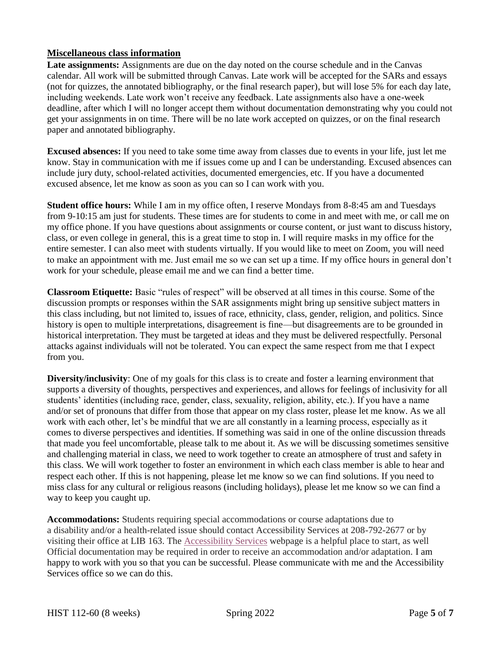## **Miscellaneous class information**

**Late assignments:** Assignments are due on the day noted on the course schedule and in the Canvas calendar. All work will be submitted through Canvas. Late work will be accepted for the SARs and essays (not for quizzes, the annotated bibliography, or the final research paper), but will lose 5% for each day late, including weekends. Late work won't receive any feedback. Late assignments also have a one-week deadline, after which I will no longer accept them without documentation demonstrating why you could not get your assignments in on time. There will be no late work accepted on quizzes, or on the final research paper and annotated bibliography.

**Excused absences:** If you need to take some time away from classes due to events in your life, just let me know. Stay in communication with me if issues come up and I can be understanding. Excused absences can include jury duty, school-related activities, documented emergencies, etc. If you have a documented excused absence, let me know as soon as you can so I can work with you.

**Student office hours:** While I am in my office often, I reserve Mondays from 8-8:45 am and Tuesdays from 9-10:15 am just for students. These times are for students to come in and meet with me, or call me on my office phone. If you have questions about assignments or course content, or just want to discuss history, class, or even college in general, this is a great time to stop in. I will require masks in my office for the entire semester. I can also meet with students virtually. If you would like to meet on Zoom, you will need to make an appointment with me. Just email me so we can set up a time. If my office hours in general don't work for your schedule, please email me and we can find a better time.

**Classroom Etiquette:** Basic "rules of respect" will be observed at all times in this course. Some of the discussion prompts or responses within the SAR assignments might bring up sensitive subject matters in this class including, but not limited to, issues of race, ethnicity, class, gender, religion, and politics. Since history is open to multiple interpretations, disagreement is fine—but disagreements are to be grounded in historical interpretation. They must be targeted at ideas and they must be delivered respectfully. Personal attacks against individuals will not be tolerated. You can expect the same respect from me that I expect from you.

**Diversity/inclusivity**: One of my goals for this class is to create and foster a learning environment that supports a diversity of thoughts, perspectives and experiences, and allows for feelings of inclusivity for all students' identities (including race, gender, class, sexuality, religion, ability, etc.). If you have a name and/or set of pronouns that differ from those that appear on my class roster, please let me know. As we all work with each other, let's be mindful that we are all constantly in a learning process, especially as it comes to diverse perspectives and identities. If something was said in one of the online discussion threads that made you feel uncomfortable, please talk to me about it. As we will be discussing sometimes sensitive and challenging material in class, we need to work together to create an atmosphere of trust and safety in this class. We will work together to foster an environment in which each class member is able to hear and respect each other. If this is not happening, please let me know so we can find solutions. If you need to miss class for any cultural or religious reasons (including holidays), please let me know so we can find a way to keep you caught up.

**Accommodations:** Students requiring special accommodations or course adaptations due to a disability and/or a health-related issue should contact Accessibility Services at 208-792-2677 or by visiting their office at LIB 163. The [Accessibility Services](https://www.lcsc.edu/accessibility-services/student-information) webpage is a helpful place to start, as well Official documentation may be required in order to receive an accommodation and/or adaptation. I am happy to work with you so that you can be successful. Please communicate with me and the Accessibility Services office so we can do this.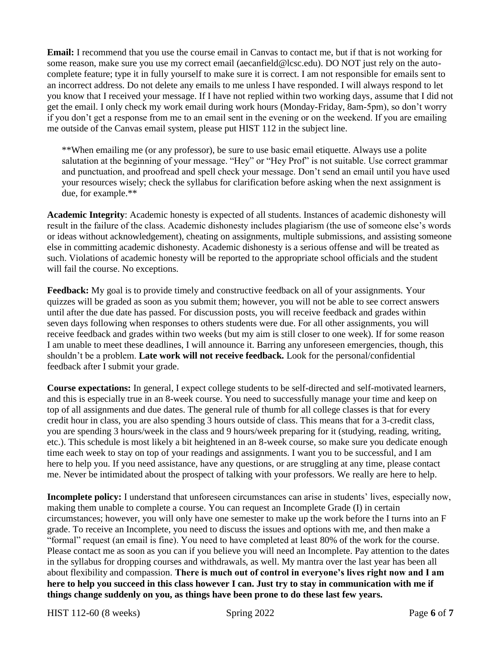**Email:** I recommend that you use the course email in Canvas to contact me, but if that is not working for some reason, make sure you use my correct email (aecanfield@lcsc.edu). DO NOT just rely on the autocomplete feature; type it in fully yourself to make sure it is correct. I am not responsible for emails sent to an incorrect address. Do not delete any emails to me unless I have responded. I will always respond to let you know that I received your message. If I have not replied within two working days, assume that I did not get the email. I only check my work email during work hours (Monday-Friday, 8am-5pm), so don't worry if you don't get a response from me to an email sent in the evening or on the weekend. If you are emailing me outside of the Canvas email system, please put HIST 112 in the subject line.

\*\*When emailing me (or any professor), be sure to use basic email etiquette. Always use a polite salutation at the beginning of your message. "Hey" or "Hey Prof" is not suitable. Use correct grammar and punctuation, and proofread and spell check your message. Don't send an email until you have used your resources wisely; check the syllabus for clarification before asking when the next assignment is due, for example.\*\*

**Academic Integrity**: Academic honesty is expected of all students. Instances of academic dishonesty will result in the failure of the class. Academic dishonesty includes plagiarism (the use of someone else's words or ideas without acknowledgement), cheating on assignments, multiple submissions, and assisting someone else in committing academic dishonesty. Academic dishonesty is a serious offense and will be treated as such. Violations of academic honesty will be reported to the appropriate school officials and the student will fail the course. No exceptions.

**Feedback:** My goal is to provide timely and constructive feedback on all of your assignments. Your quizzes will be graded as soon as you submit them; however, you will not be able to see correct answers until after the due date has passed. For discussion posts, you will receive feedback and grades within seven days following when responses to others students were due. For all other assignments, you will receive feedback and grades within two weeks (but my aim is still closer to one week). If for some reason I am unable to meet these deadlines, I will announce it. Barring any unforeseen emergencies, though, this shouldn't be a problem. **Late work will not receive feedback.** Look for the personal/confidential feedback after I submit your grade.

**Course expectations:** In general, I expect college students to be self-directed and self-motivated learners, and this is especially true in an 8-week course. You need to successfully manage your time and keep on top of all assignments and due dates. The general rule of thumb for all college classes is that for every credit hour in class, you are also spending 3 hours outside of class. This means that for a 3-credit class, you are spending 3 hours/week in the class and 9 hours/week preparing for it (studying, reading, writing, etc.). This schedule is most likely a bit heightened in an 8-week course, so make sure you dedicate enough time each week to stay on top of your readings and assignments. I want you to be successful, and I am here to help you. If you need assistance, have any questions, or are struggling at any time, please contact me. Never be intimidated about the prospect of talking with your professors. We really are here to help.

**Incomplete policy:** I understand that unforeseen circumstances can arise in students' lives, especially now, making them unable to complete a course. You can request an Incomplete Grade (I) in certain circumstances; however, you will only have one semester to make up the work before the I turns into an F grade. To receive an Incomplete, you need to discuss the issues and options with me, and then make a "formal" request (an email is fine). You need to have completed at least 80% of the work for the course. Please contact me as soon as you can if you believe you will need an Incomplete. Pay attention to the dates in the syllabus for dropping courses and withdrawals, as well. My mantra over the last year has been all about flexibility and compassion. **There is much out of control in everyone's lives right now and I am here to help you succeed in this class however I can. Just try to stay in communication with me if things change suddenly on you, as things have been prone to do these last few years.**